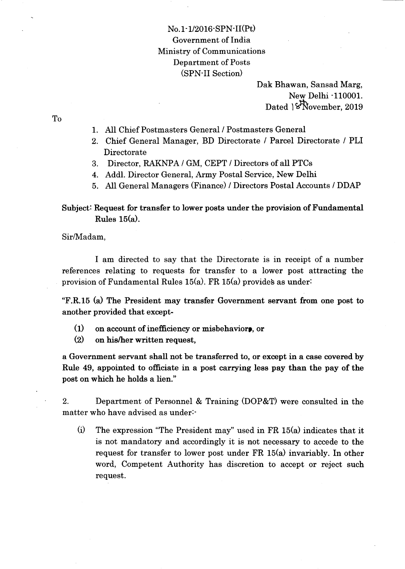## No. 1 - 1/2016'SPN-II(Pt) Government of India Ministry of Communications Department of Posts (SPN'II Section)

Dak Bhawan, Sansad Marg, New Delhi-110001. Dated  $\sqrt{\text{November}}$ , 2019

To

- 1. AII Chief Postmasters General / Postmasters General
- 2. Chief General Manager, BD Directorate / Parcel Directorate / PLI Directorate
- 3. Director, RAKNPA / GM, CEPT / Directors of all PTCs
- 4. Addl. Director General, Army Postal Service, New Delhi
- 5. All General Managers (Finance) / Directors Postal Accounts / DDAP

## Subject: Request for transfer to lower posts under the provision of Fundamental Rules  $15(a)$ .

Sir/Madam,

I am directed to say that the Directorate is in receipt of a number references relating to requests for transfer to a lower post attracting the provision of Fundamental Rules  $15(a)$ . FR  $15(a)$  provides as under:

"F.R.15 (a) The President may transfer Government servant from one post to another provided that except-

- $(1)$  on account of inefficiency or misbehavior.
- @) on his/her written request,

a Government servant shall not be transferred to, or except in a case covered by Rule 49, appointed to officiate in a post carrying less pay than the pay of the post on which he holds a lien."

2. Department of Personnel & Training (DOP&T) were consulted in the matter who have advised as under-

(i) The expression "The President may" used in FR  $15(a)$  indicates that it is not mandatory and accordingly it is not necessary to accede to the request for transfer to lower post under  $FR 15(a)$  invariably. In other word, Competent Authority has discretion to accept or reject such request.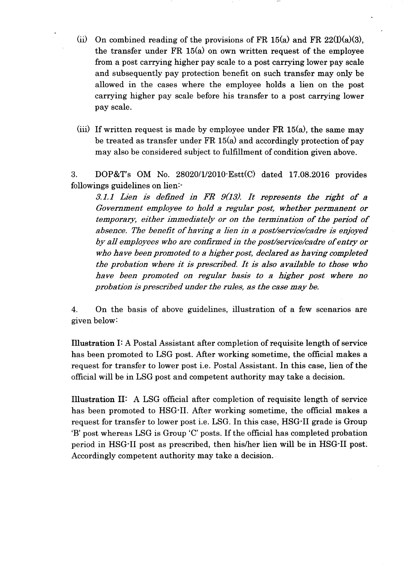- (ii) On combined reading of the provisions of FR 15(a) and FR  $22(I)(a)(3)$ , the transfer under  $FR 15(a)$  on own written request of the employee from a post carrying higher pay scale to a post carrying lower pay scale and subsequently pay protection benefit on such transfer may only be allowed in the cases where the employee holds a lien on the post carrying higher pay scale before his transfer to a post carrying lower pay scale.
- (iii) If written request is made by employee under FR  $15(a)$ , the same may be treated as transfer under  $FR 15(a)$  and accordingly protection of pay may also be considered subject to fulfillment of condition given above.

3. DOP&T's OM No.  $28020/1/2010 \cdot \text{Est}(C)$  dated 17.08.2016 provides followings guidelines on lien:-

 $3.1.1$  Lien is defined in FR  $9(13)$ . It represents the right of a Government employee to hold a regular post, whether permanent or temporary, either immediately or on the termination of the period of absence. The benefit of having a lien in a post/service/cadre is enjoyed by all employees who are confirmed in the post/service/cadre of entry or who have been promoted to a higher post, declared as having completed the probation where it is prescribed. It is also available to those who have been promoted on regular basis to a higher post where no probation is prescribed under the rules, as the case may be.

4. On the basis of above guidelines, illustration of a few scenarios are given below:

Illustration I: A Postal Assistant after completion of requisite length of service has been promoted to LSG post. After working sometime, the official makes a request for transfer to lower post i.e. Postal Assistant. In this case, lien of the offrcial will be in LSG post and competent authority may take a decision.

Illustration II: A LSG official after completion of requisite length of service has been promoted to HSG<sup>-</sup>II. After working sometime, the official makes a request for transfer to lower post i.e. LSG. In this case, HSG'II grade is Group 'B' post whereas LSG is Group 'C' posts. If the official has completed probation period in HSG-II post as prescribed, then his/her lien will be in HSG-II post. Accordingly competent authority may take a decision.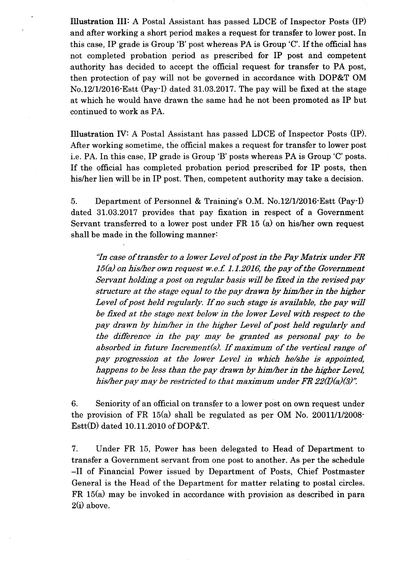Illustration III: A Postal Assistant has passed LDCE of Inspector Posts (IP) and after working a short period makes a request for transfer to lower post. In this case, IP grade is Group 'B'post whereas PA is Group'C'. If the official has not completed probation period as prescribed for IP post and competent authority has decided to accept the official request for transfer to PA post, then protection of pay will not be governed in accordance with DOP&T OM No.12l1/2016'Estt (Pay'I) dated 31.03.2017. The pay wiII be fixed at the stage at which he would have drawn the same had he not been promoted as IP but continued to work as PA.

Illustration fV: A Postal Assistant has passed LDCE of Inspector Posts (IP). After working sometime, the official makes a request for transfer to lower post i.e. PA. In this case, IP grade is Group 'B'posts whereas PA is Group 'C'posts. If the official has completed probation period prescribed for IP posts, then his/her lien will be in IP post. Then, competent authority may take a decision.

5. Department of Personnel & Training's O.M. No.12/1/2016 Estt (Pay-I) dated 31.03.2017 provides that pay fixation in respect of a Government Servant transferred to a lower post under  $FR$  15 (a) on his/her own request shall be made in the following manner:

"fn case of transfer to a lower Level of post in the Pay Matrix under FR  $15(a)$  on his/her own request w.e.f. 1.1.2016, the pay of the Government Servant holding a post on regular basis will be fixed in the revised pay structure at the stage equal to the pay drawn by him/her in the higher Level of post held regularly. If no such stage is available, the pay wiII be fixed at the stage next below in the lower Level with respect to the pay drawn by him/her in the higher Level of post held regularly and the difference in the pay may be granted as personal pay to be absorbed in future Increment(s). If maximum of the vertical range of pay progression at the lower Level in which he/she is appointed, happens to be less than the pay drawn by him/her in the higher Level, his/her pay may be restricted to that maximum under FR  $22(I)(a)(3)$ ".

6. Seniority of an official on transfer to a lower post on own request under the provision of FR  $15(a)$  shall be regulated as per OM No. 20011/1/2008-Estt(D) dated 10.11.2010 of DOP&T.

7. Under FR 15, Power has been delegated to Head of Department to transfer a Government servant from one post to another. As per the schedule -II of Financial Power issued by Department of Posts, Chief Postmaster General is the Head of the Department for matter relating to postal circles. FR 15(a) may be invoked in accordance with provision as described in para  $2(i)$  above.